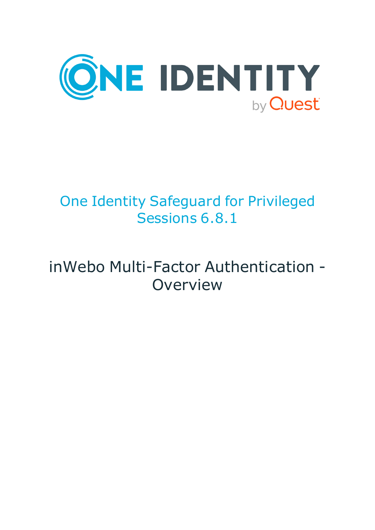

# One Identity Safeguard for Privileged Sessions 6.8.1

# inWebo Multi-Factor Authentication - **Overview**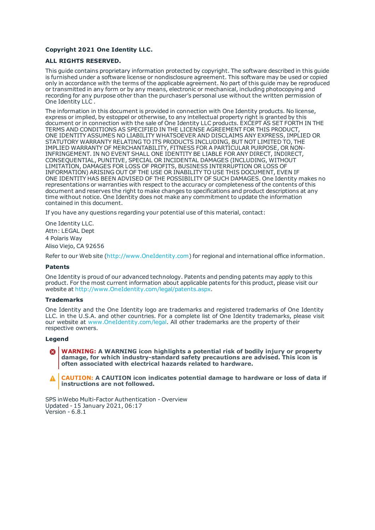#### **Copyright 2021 One Identity LLC.**

#### **ALL RIGHTS RESERVED.**

This guide contains proprietary information protected by copyright. The software described in this guide is furnished under a software license or nondisclosure agreement. This software may be used or copied only in accordance with the terms of the applicable agreement. No part of this guide may be reproduced or transmitted in any form or by any means, electronic or mechanical, including photocopying and recording for any purpose other than the purchaser's personal use without the written permission of One Identity LLC .

The information in this document is provided in connection with One Identity products. No license, express or implied, by estoppel or otherwise, to any intellectual property right is granted by this document or in connection with the sale of One Identity LLC products. EXCEPT AS SET FORTH IN THE TERMS AND CONDITIONS AS SPECIFIED IN THE LICENSE AGREEMENT FOR THIS PRODUCT, ONE IDENTITY ASSUMES NO LIABILITY WHATSOEVER AND DISCLAIMS ANY EXPRESS, IMPLIED OR STATUTORY WARRANTY RELATING TO ITS PRODUCTS INCLUDING, BUT NOT LIMITED TO, THE IMPLIED WARRANTY OF MERCHANTABILITY, FITNESS FOR A PARTICULAR PURPOSE, OR NON-INFRINGEMENT. IN NO EVENT SHALL ONE IDENTITY BE LIABLE FOR ANY DIRECT, INDIRECT, CONSEQUENTIAL, PUNITIVE, SPECIAL OR INCIDENTAL DAMAGES (INCLUDING, WITHOUT LIMITATION, DAMAGES FOR LOSS OF PROFITS, BUSINESS INTERRUPTION OR LOSS OF INFORMATION) ARISING OUT OF THE USE OR INABILITY TO USE THIS DOCUMENT, EVEN IF ONE IDENTITY HAS BEEN ADVISED OF THE POSSIBILITY OF SUCH DAMAGES. One Identity makes no representations or warranties with respect to the accuracy or completeness of the contents of this document and reserves the right to make changes to specifications and product descriptions at any time without notice. One Identity does not make any commitment to update the information contained in this document.

If you have any questions regarding your potential use of this material, contact:

One Identity LLC. Attn: LEGAL Dept 4 Polaris Way Aliso Viejo, CA 92656

Refer to our Web site ([http://www.OneIdentity.com](http://www.oneidentity.com/)) for regional and international office information.

#### **Patents**

One Identity is proud of our advanced technology. Patents and pending patents may apply to this product. For the most current information about applicable patents for this product, please visit our website at [http://www.OneIdentity.com/legal/patents.aspx](http://www.oneidentity.com/legal/patents.aspx).

#### **Trademarks**

One Identity and the One Identity logo are trademarks and registered trademarks of One Identity LLC. in the U.S.A. and other countries. For a complete list of One Identity trademarks, please visit our website at [www.OneIdentity.com/legal](http://www.oneidentity.com/legal). All other trademarks are the property of their respective owners.

#### **Legend**

**WARNING: A WARNING icon highlights a potential risk of bodily injury or property damage, for which industry-standard safety precautions are advised. This icon is often associated with electrical hazards related to hardware.**

**CAUTION: A CAUTION icon indicates potential damage to hardware or loss of data if** A **instructions are not followed.**

SPS inWebo Multi-Factor Authentication - Overview Updated - 15 January 2021, 06:17 Version - 6.8.1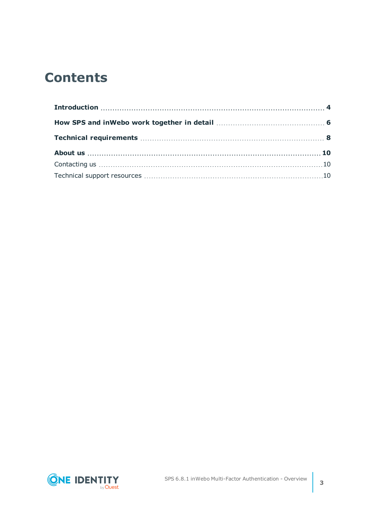## **Contents**

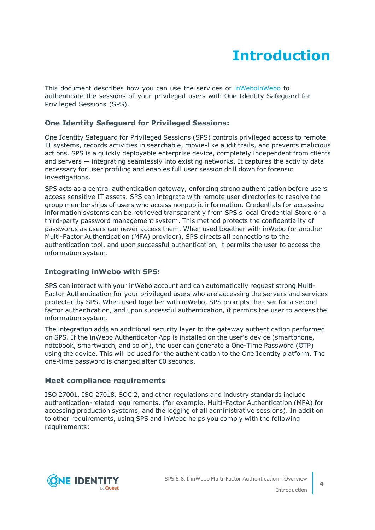## **Introduction**

<span id="page-3-0"></span>This document describes how you can use the services of [inWeboinWebo](https://www.inwebo.com/) to authenticate the sessions of your privileged users with One Identity Safeguard for Privileged Sessions (SPS).

### **One Identity Safeguard for Privileged Sessions:**

One Identity Safeguard for Privileged Sessions (SPS) controls privileged access to remote IT systems, records activities in searchable, movie-like audit trails, and prevents malicious actions. SPS is a quickly deployable enterprise device, completely independent from clients and servers — integrating seamlessly into existing networks. It captures the activity data necessary for user profiling and enables full user session drill down for forensic investigations.

SPS acts as a central authentication gateway, enforcing strong authentication before users access sensitive IT assets. SPS can integrate with remote user directories to resolve the group memberships of users who access nonpublic information. Credentials for accessing information systems can be retrieved transparently from SPS's local Credential Store or a third-party password management system. This method protects the confidentiality of passwords as users can never access them. When used together with inWebo (or another Multi-Factor Authentication (MFA) provider), SPS directs all connections to the authentication tool, and upon successful authentication, it permits the user to access the information system.

### **Integrating inWebo with SPS:**

SPS can interact with your inWebo account and can automatically request strong Multi-Factor Authentication for your privileged users who are accessing the servers and services protected by SPS. When used together with inWebo, SPS prompts the user for a second factor authentication, and upon successful authentication, it permits the user to access the information system.

The integration adds an additional security layer to the gateway authentication performed on SPS. If the inWebo Authenticator App is installed on the user's device (smartphone, notebook, smartwatch, and so on), the user can generate a One-Time Password (OTP) using the device. This will be used for the authentication to the One Identity platform. The one-time password is changed after 60 seconds.

### **Meet compliance requirements**

ISO 27001, ISO 27018, SOC 2, and other regulations and industry standards include authentication-related requirements, (for example, Multi-Factor Authentication (MFA) for accessing production systems, and the logging of all administrative sessions). In addition to other requirements, using SPS and inWebo helps you comply with the following requirements:

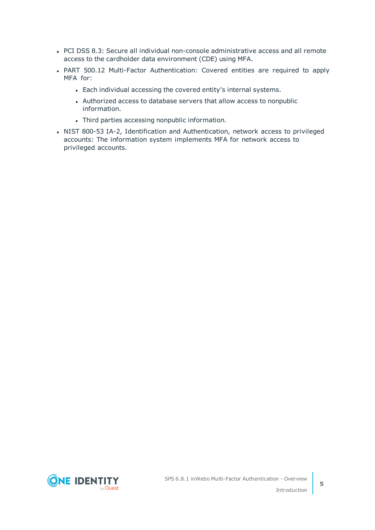- PCI DSS 8.3: Secure all individual non-console administrative access and all remote access to the cardholder data environment (CDE) using MFA.
- PART 500.12 Multi-Factor Authentication: Covered entities are required to apply MFA for:
	- Each individual accessing the covered entity's internal systems.
	- Authorized access to database servers that allow access to nonpublic information.
	- Third parties accessing nonpublic information.
- NIST 800-53 IA-2, Identification and Authentication, network access to privileged accounts: The information system implements MFA for network access to privileged accounts.

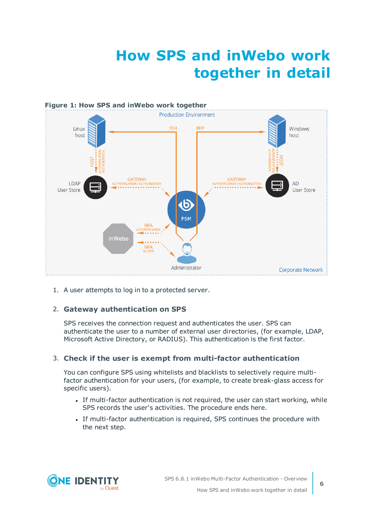## **How SPS and inWebo work together in detail**

<span id="page-5-0"></span>

1. A user attempts to log in to a protected server.

### 2. **Gateway authentication on SPS**

SPS receives the connection request and authenticates the user. SPS can authenticate the user to a number of external user directories, (for example, LDAP, Microsoft Active Directory, or RADIUS). This authentication is the first factor.

#### 3. **Check if the user is exempt from multi-factor authentication**

You can configure SPS using whitelists and blacklists to selectively require multifactor authentication for your users, (for example, to create break-glass access for specific users).

- If multi-factor authentication is not required, the user can start working, while SPS records the user's activities. The procedure ends here.
- If multi-factor authentication is required, SPS continues the procedure with the next step.

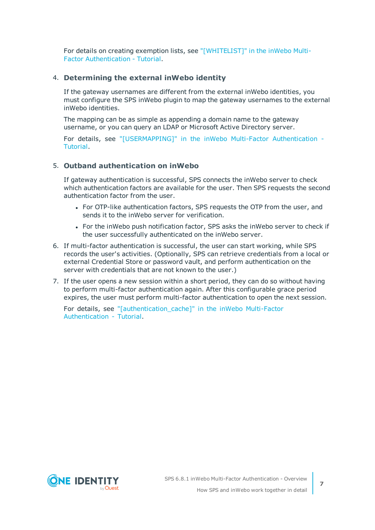For details on creating exemption lists, see ["\[WHITELIST\]"](https://support.oneidentity.com/technical-documents/safeguard-for-privileged-sessions/6.8.1/inwebo-multi-factor-authentication---tutorial/[whitelist]/) in the inWebo Multi-Factor [Authentication](https://support.oneidentity.com/technical-documents/safeguard-for-privileged-sessions/6.8.1/inwebo-multi-factor-authentication---tutorial/[whitelist]/) - Tutorial.

#### 4. **Determining the external inWebo identity**

If the gateway usernames are different from the external inWebo identities, you must configure the SPS inWebo plugin to map the gateway usernames to the external inWebo identities.

The mapping can be as simple as appending a domain name to the gateway username, or you can query an LDAP or Microsoft Active Directory server.

For details, see ["\[USERMAPPING\]"](https://support.oneidentity.com/technical-documents/safeguard-for-privileged-sessions/6.8.1/inwebo-multi-factor-authentication---tutorial/[usermapping]/) in the inWebo Multi-Factor Authentication - [Tutorial.](https://support.oneidentity.com/technical-documents/safeguard-for-privileged-sessions/6.8.1/inwebo-multi-factor-authentication---tutorial/[usermapping]/)

#### 5. **Outband authentication on inWebo**

If gateway authentication is successful, SPS connects the inWebo server to check which authentication factors are available for the user. Then SPS requests the second authentication factor from the user.

- For OTP-like authentication factors, SPS requests the OTP from the user, and sends it to the inWebo server for verification.
- For the inWebo push notification factor, SPS asks the inWebo server to check if the user successfully authenticated on the inWebo server.
- 6. If multi-factor authentication is successful, the user can start working, while SPS records the user's activities. (Optionally, SPS can retrieve credentials from a local or external Credential Store or password vault, and perform authentication on the server with credentials that are not known to the user.)
- 7. If the user opens a new session within a short period, they can do so without having to perform multi-factor authentication again. After this configurable grace period expires, the user must perform multi-factor authentication to open the next session.

For details, see ["\[authentication\\_cache\]"](https://support.oneidentity.com/technical-documents/safeguard-for-privileged-sessions/6.8.1/inwebo-multi-factor-authentication---tutorial/[authentication_cache]/) in the inWebo Multi-Factor [Authentication](https://support.oneidentity.com/technical-documents/safeguard-for-privileged-sessions/6.8.1/inwebo-multi-factor-authentication---tutorial/[authentication_cache]/) - Tutorial.

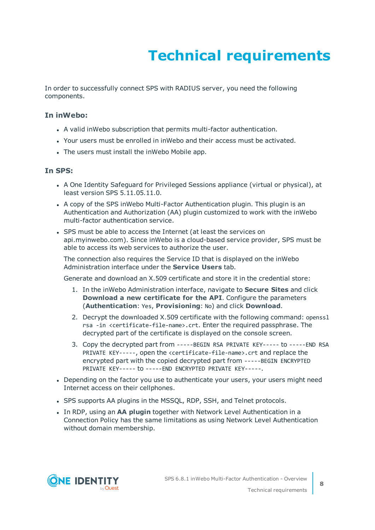# **Technical requirements**

<span id="page-7-0"></span>In order to successfully connect SPS with RADIUS server, you need the following components.

#### **In inWebo:**

- A valid inWebo subscription that permits multi-factor authentication.
- Your users must be enrolled in inWebo and their access must be activated.
- The users must install the inWebo Mobile app.

#### **In SPS:**

- A One Identity Safeguard for Privileged Sessions appliance (virtual or physical), at least version SPS 5.11.05.11.0.
- A copy of the SPS inWebo Multi-Factor Authentication plugin. This plugin is an Authentication and Authorization (AA) plugin customized to work with the inWebo multi-factor authentication service.
- SPS must be able to access the Internet (at least the services on api.myinwebo.com). Since inWebo is a cloud-based service provider, SPS must be able to access its web services to authorize the user.

The connection also requires the Service ID that is displayed on the inWebo Administration interface under the **Service Users** tab.

Generate and download an X.509 certificate and store it in the credential store:

- 1. In the inWebo Administration interface, navigate to **Secure Sites** and click **Download a new certificate for the API**. Configure the parameters (**Authentication**: Yes, **Provisioning**: No) and click **Download**.
- 2. Decrypt the downloaded X.509 certificate with the following command: openssl rsa -in <certificate-file-name>.crt. Enter the required passphrase. The decrypted part of the certificate is displayed on the console screen.
- 3. Copy the decrypted part from -----BEGIN RSA PRIVATE KEY----- to -----END RSA PRIVATE KEY-----, open the <certificate-file-name>.crt and replace the encrypted part with the copied decrypted part from -----BEGIN ENCRYPTED PRIVATE KEY----- to -----END ENCRYPTED PRIVATE KEY-----.
- Depending on the factor you use to authenticate your users, your users might need Internet access on their cellphones.
- SPS supports AA plugins in the MSSQL, RDP, SSH, and Telnet protocols.
- **.** In RDP, using an AA plugin together with Network Level Authentication in a Connection Policy has the same limitations as using Network Level Authentication without domain membership.

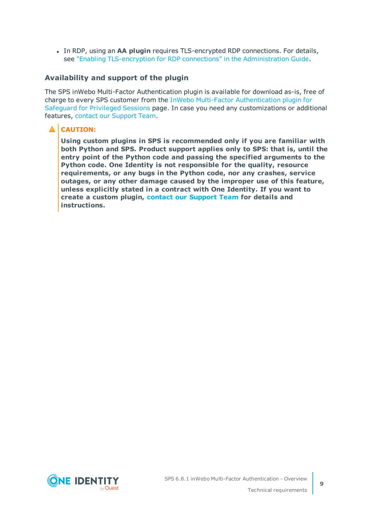**In RDP, using an AA plugin requires TLS-encrypted RDP connections. For details,** see "Enabling [TLS-encryption](https://support.oneidentity.com/technical-documents/safeguard-for-privileged-sessions/6.8.1/administration-guide/rdp-specific-settings/enabling-tls-encryption-for-rdp-connections/) for RDP connections" in the Administration Guide.

#### **Availability and support of the plugin**

The SPS inWebo Multi-Factor Authentication plugin is available for download as-is, free of charge to every SPS customer from the InWebo Multi-Factor [Authentication](https://github.com/OneIdentity/safeguard-sessions-plugin-inwebo-mfa/releases) plugin for [Safeguard](https://github.com/OneIdentity/safeguard-sessions-plugin-inwebo-mfa/releases) for Privileged Sessions page. In case you need any customizations or additional features, contact our [Support](https://support.oneidentity.com/one-identity-safeguard-for-privileged-sessions) Team.

### **A** CAUTION:

**Using custom plugins in SPS is recommended only if you are familiar with both Python and SPS. Product support applies only to SPS: that is, until the entry point of the Python code and passing the specified arguments to the Python code. One Identity is not responsible for the quality, resource requirements, or any bugs in the Python code, nor any crashes, service outages, or any other damage caused by the improper use of this feature, unless explicitly stated in a contract with One Identity. If you want to create a custom plugin, contact our [Support](https://support.oneidentity.com/one-identity-safeguard-for-privileged-sessions) Team for details and instructions.**